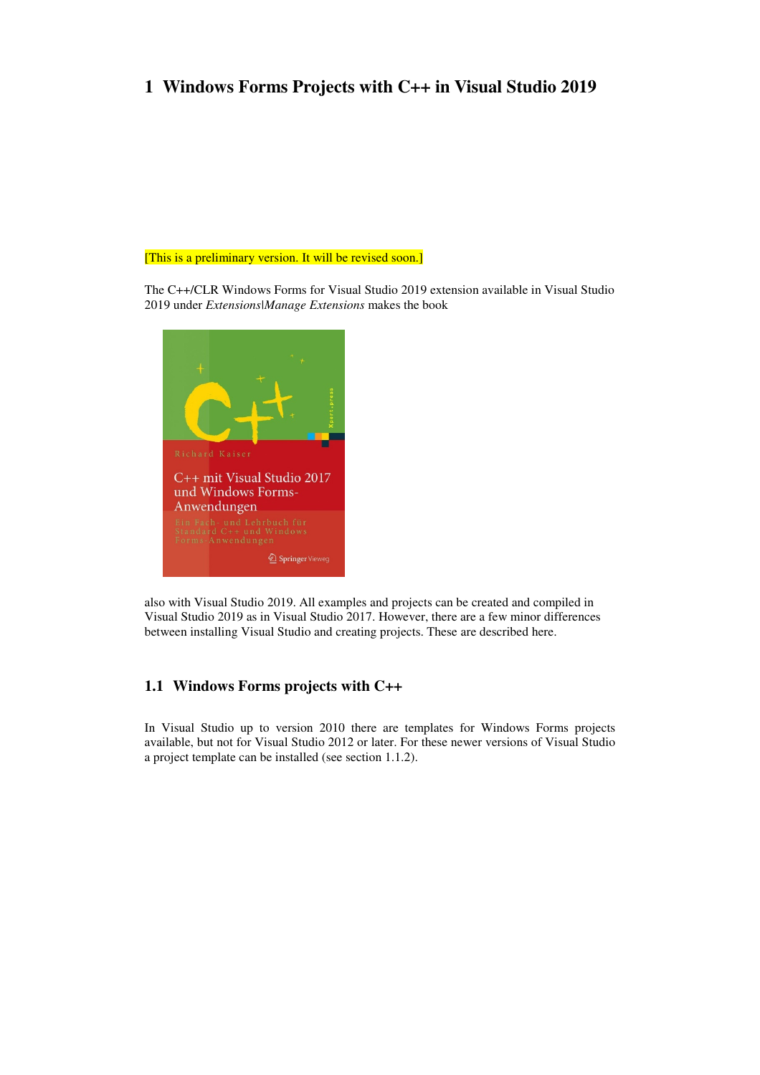# **1 Windows Forms Projects with C++ in Visual Studio 2019**

#### [This is a preliminary version. It will be revised soon.]

The C++/CLR Windows Forms for Visual Studio 2019 extension available in Visual Studio 2019 under *Extensions|Manage Extensions* makes the book



also with Visual Studio 2019. All examples and projects can be created and compiled in Visual Studio 2019 as in Visual Studio 2017. However, there are a few minor differences between installing Visual Studio and creating projects. These are described here.

# **1.1 Windows Forms projects with C++**

In Visual Studio up to version 2010 there are templates for Windows Forms projects available, but not for Visual Studio 2012 or later. For these newer versions of Visual Studio a project template can be installed (see section 1.1.2).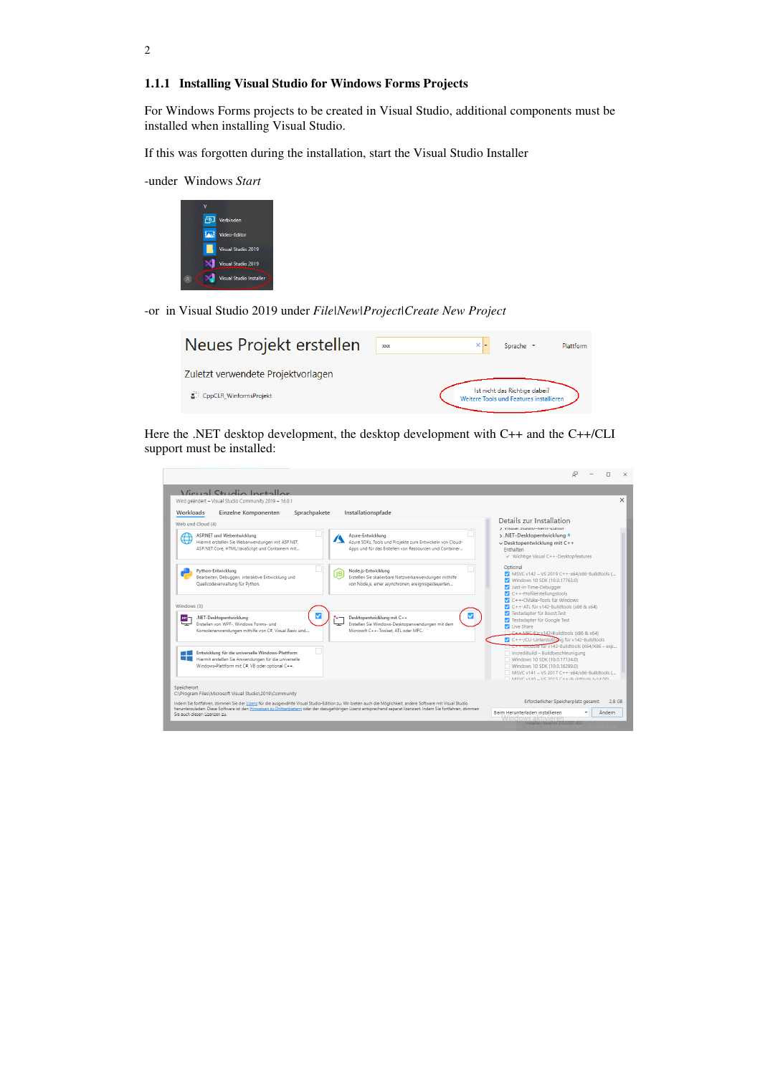#### **1.1.1 Installing Visual Studio for Windows Forms Projects**

For Windows Forms projects to be created in Visual Studio, additional components must be installed when installing Visual Studio.

If this was forgotten during the installation, start the Visual Studio Installer

-under Windows *Start*



-or in Visual Studio 2019 under *File|New|Project|Create New Project* 

| Neues Projekt erstellen                                        | <b>XXX</b> | Sprache *                                                                | Plattform |
|----------------------------------------------------------------|------------|--------------------------------------------------------------------------|-----------|
| Zuletzt verwendete Projektvorlagen<br>2 CppCLR WinformsProjekt |            | Ist nicht das Richtige dabei?<br>Weitere Tools und Features installieren |           |

Here the .NET desktop development, the desktop development with C++ and the C++/CLI support must be installed:

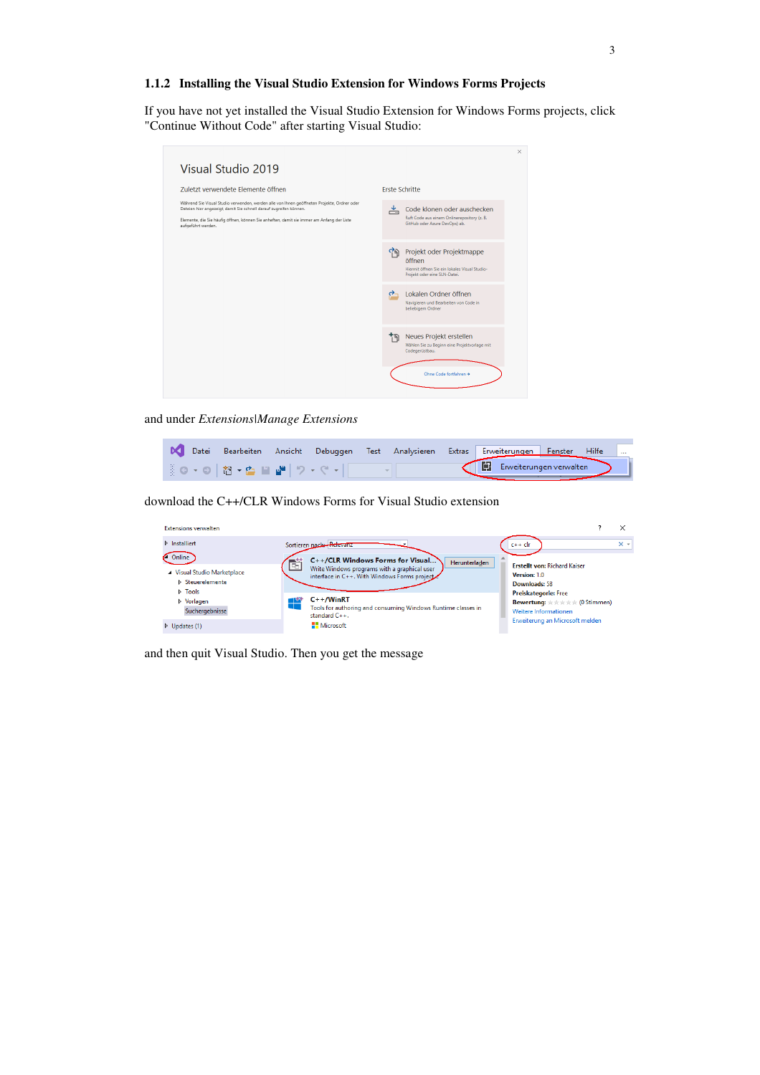#### **1.1.2 Installing the Visual Studio Extension for Windows Forms Projects**

If you have not yet installed the Visual Studio Extension for Windows Forms projects, click "Continue Without Code" after starting Visual Studio:

| Visual Studio 2019                                                                                                                                                                                                                                                                   |                                                                                                                           |
|--------------------------------------------------------------------------------------------------------------------------------------------------------------------------------------------------------------------------------------------------------------------------------------|---------------------------------------------------------------------------------------------------------------------------|
| Zuletzt verwendete Elemente öffnen                                                                                                                                                                                                                                                   | <b>Frste Schritte</b>                                                                                                     |
| Während Sie Visual Studio verwenden, werden alle von Ihnen geöffneten Projekte, Ordner oder<br>Dateien hier angezeigt, damit Sie schnell darauf zugreifen können.<br>Elemente, die Sie häufig öffnen, können Sie anheften, damit sie immer am Anfang der Liste<br>aufgeführt werden. | Code klonen oder auschecken<br>≚<br>Ruft Code aus einem Onlinerepository (z. B.<br>GitHub oder Azure DevOps) ab.          |
|                                                                                                                                                                                                                                                                                      | Projekt oder Projektmappe<br>M<br>öffnen<br>Hiermit öffnen Sie ein lokales Visual Studio-<br>Projekt oder eine SLN-Datei. |
|                                                                                                                                                                                                                                                                                      | Lokalen Ordner öffnen<br>$\rightarrow$<br>Navigieren und Bearbeiten von Code in<br>beliebigem Ordner                      |
|                                                                                                                                                                                                                                                                                      | Neues Projekt erstellen<br>ף ל<br>Wählen Sie zu Beginn eine Projektvorlage mit<br>Codegerüstbau.                          |
|                                                                                                                                                                                                                                                                                      | Ohne Code fortfahren →                                                                                                    |

and under *Extensions|Manage Extensions*

|  |  |  | Datei Bearbeiten Ansicht Debuggen Test Analysieren Extras Erweiterungen Fenster Hilfe |  |  |
|--|--|--|---------------------------------------------------------------------------------------|--|--|
|  |  |  | Envelterungen verwalten                                                               |  |  |

download the C++/CLR Windows Forms for Visual Studio extension

| <b>Extensions verwalten</b>                                                                                        |                         |                                                                                                                                                                                                                                                                                                                                                                                                                                                                 |            |
|--------------------------------------------------------------------------------------------------------------------|-------------------------|-----------------------------------------------------------------------------------------------------------------------------------------------------------------------------------------------------------------------------------------------------------------------------------------------------------------------------------------------------------------------------------------------------------------------------------------------------------------|------------|
| $\triangleright$ Installiert                                                                                       | Sortieren nach Relevanz | $c++$ clr                                                                                                                                                                                                                                                                                                                                                                                                                                                       | $\times$ + |
| Online<br>▲ Visual Studio Marketplace<br><b>D</b> Steuerelemente<br>D Tools<br><b>D</b> Vorlagen<br>Suchergebnisse | ۱ę.                     | C++/CLR Windows Forms for Visual<br>Herunterladen<br><b>Erstellt von: Richard Kaiser</b><br>Write Windows programs with a graphical user<br>Version: 1.0<br>interface in C++. With Windows Forms project<br>Downloads: 58<br><b>Preiskategorie:</b> Free<br>$C++/WinRT$<br><b>Bewertung:</b> $\star \star \star \star \star \times$ (0 Stimmen)<br>Tools for authoring and consuming Windows Runtime classes in<br>Weitere Informationen<br>standard $C_{++}$ . |            |
| $\triangleright$ Updates (1)                                                                                       |                         | Erweiterung an Microsoft melden<br><b>H</b> Microsoft                                                                                                                                                                                                                                                                                                                                                                                                           |            |

and then quit Visual Studio. Then you get the message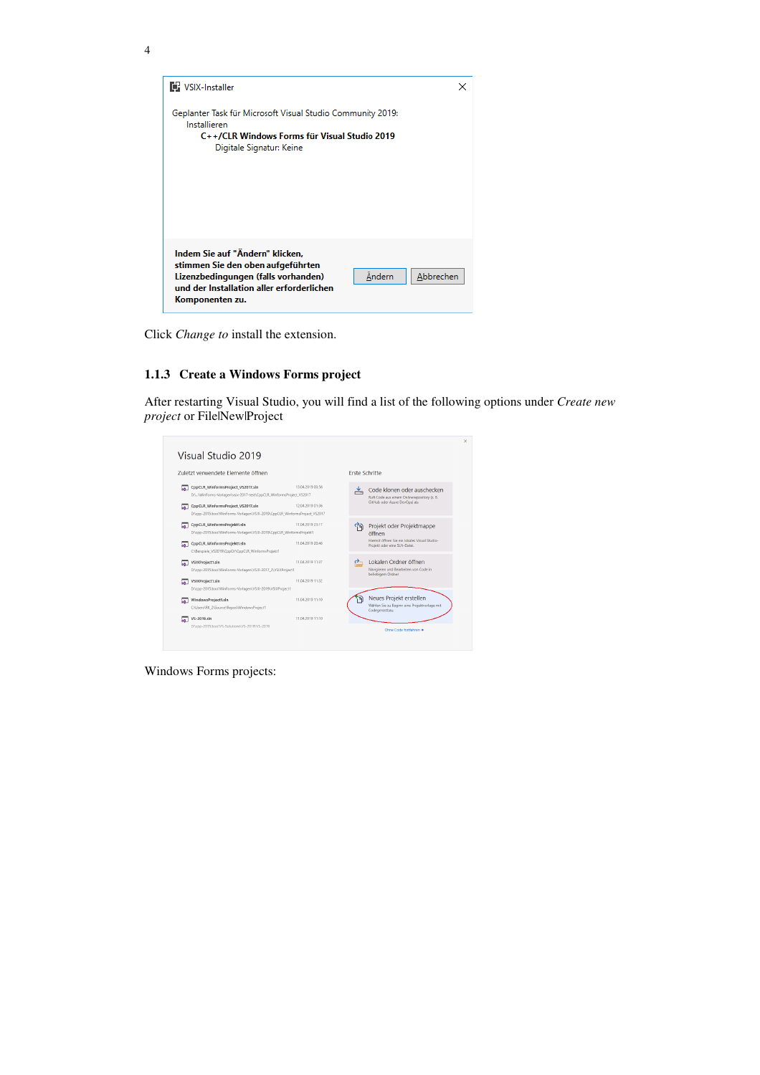

Click *Change to* install the extension.

### **1.1.3 Create a Windows Forms project**

After restarting Visual Studio, you will find a list of the following options under *Create new project* or File|New|Project

| Zuletzt verwendete Elemente öffnen                                                                                                                                                                                             |                                      | <b>Erste Schritte</b> |                                                                                                                      |
|--------------------------------------------------------------------------------------------------------------------------------------------------------------------------------------------------------------------------------|--------------------------------------|-----------------------|----------------------------------------------------------------------------------------------------------------------|
| CppCLR_WinformsProject_VS2017.sln<br>๛<br>D:\\WinForms-Vorlagen\vsix-2017-test\CppCLR WinformsProiect VS2017<br>CppCLR_WinformsProject_VS2017.sln<br>D:\cpp-2015.boo\WinForms-Vorlagen\VSIX-2019\CppCLR WinformsProject VS2017 | 13.04.2019 00:58<br>12.04.2019 01:36 | ≚                     | Code klonen oder auschecken<br>Ruft Code aus einem Onlinerepository (z. B.<br>GitHub oder Azure DevOps) ab.          |
| CppCLR_WinformsProjekt1.sln<br>⊶<br>D:\cpp-2015.boo\WinForms-Vorlagen\VSIX-2019\CppCLR_WinformsProjekt1<br>CppCLR_WinformsProjekt1.sln<br>CABeispiele VS2019\CppCIr\CppCLR WinformsProjekt1                                    | 11.04.2019 23:17<br>11.04.2019 20:46 |                       | Projekt oder Projektmappe<br>öffnen<br>Hiermit öffnen Sie ein lokales Visual Studio-<br>Projekt oder eine SLN-Datei. |
| VSIXProject1.sln<br>M.<br>D:\cpp-2015.boo\WinForms-Vorlagen\VSIX-2017_2\VSIXProject1                                                                                                                                           | 11.04.2019 11:37                     | O.                    | Lokalen Ordner öffnen<br>Navigieren und Bearbeiten von Code in<br>beliebigem Ordner                                  |
| VSIXProject1.sln<br>⊶<br>D:\cpp-2015.boo\WinForms-Vorlagen\VSIX-2019\VSIXProject1                                                                                                                                              | 11.04.2019 11:32                     |                       |                                                                                                                      |
| WindowsProject1.sln<br>м<br>C:\Users\RK_2\Source\Repos\WindowsProject1                                                                                                                                                         | 11.04.2019 11:10                     |                       | Neues Projekt erstellen<br>Wählen Sie zu Beginn eine Projektvorlage mit<br>Codegerüstbau.                            |
| VS-2019.sln<br>ଇ<br>D:\cpp-2015.boo\VS-Solutions\VS-2019\VS-2019                                                                                                                                                               | 11.04.2019 11:10                     |                       | Chne Code fortfahren +                                                                                               |

Windows Forms projects: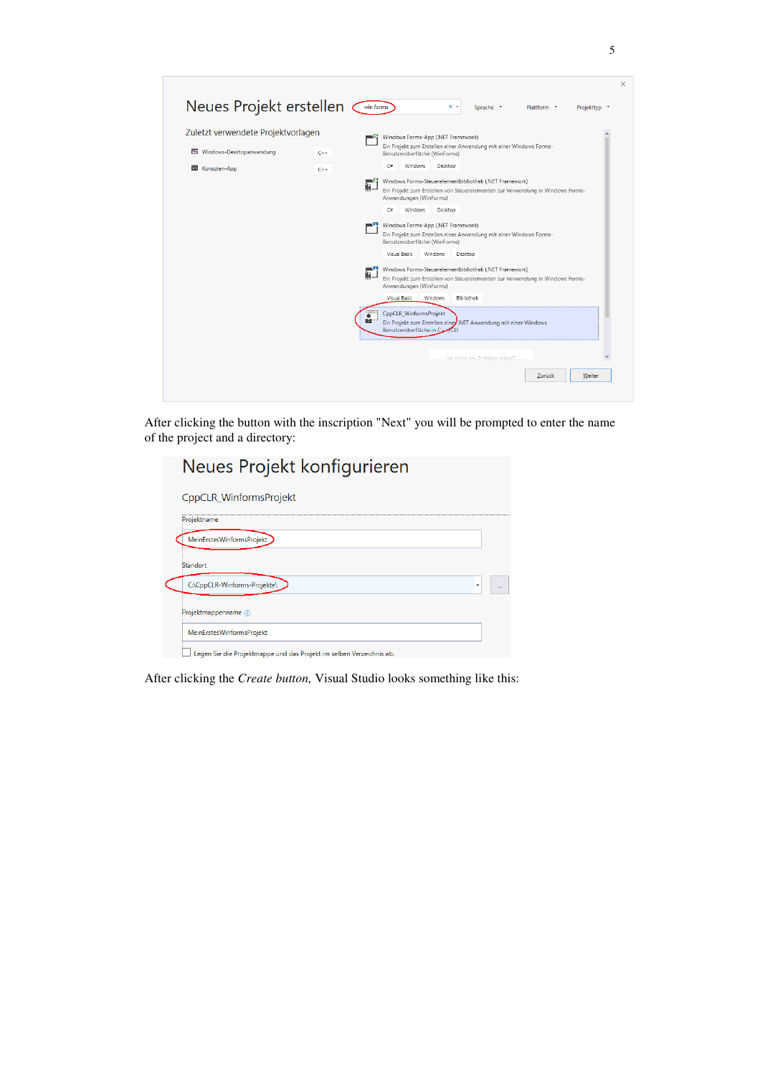| Zuletzt verwendete Projektvorlagen      |       | Windows Forms-App (.NET Framework)                                                                                                                                                          |
|-----------------------------------------|-------|---------------------------------------------------------------------------------------------------------------------------------------------------------------------------------------------|
| Windows-Desktopanwendung<br><b>Rest</b> | $C++$ | Ein Projekt zum Erstellen einer Anwendung mit einer Windows Forms-<br>Benutzeroberfläche (WinForms)                                                                                         |
| Konsolen-App<br>C-V                     | $C++$ | $C =$<br>Windows<br>Desktop                                                                                                                                                                 |
|                                         |       | Windows Forms-Steuerelementbibliothek (.NET Framework)<br>—c#<br>ŨB.<br>Ein Projekt zum Erstellen von Steuerelementen zur Verwendung in Windows Forms-<br>Anwendungen (WinForms)            |
|                                         |       | C#<br><b>Windows</b><br>Desktop                                                                                                                                                             |
|                                         |       | Windows Forms-App (.NET Framework)<br>Ein Projekt zum Erstellen einer Anwendung mit einer Windows Forms-<br>Benutzeroberfläche (WinForms)                                                   |
|                                         |       | Visual Basic<br>Windows<br>Desktop                                                                                                                                                          |
|                                         |       | Windows Forms-Steuerelementbibliothek (.NET Framework)<br>$\blacksquare$<br>DB.<br>Ein Projekt zum Erstellen von Steuerelementen zur Verwendung in Windows Forms-<br>Anwendungen (WinForms) |
|                                         |       | Visual Basic<br>Windows<br><b>Bibliothek</b>                                                                                                                                                |
|                                         |       | CppCLR_WinformsProjekt<br>$\bullet$<br><b>M</b> <sup>2</sup><br>Ein Projekt zum Erstellen einer.NET Anwendung mit einer Windows<br>Benutzeroberfläche in C+                                 |
|                                         |       |                                                                                                                                                                                             |

After clicking the button with the inscription "Next" you will be prompted to enter the name of the project and a directory:

| Neues Projekt konfigurieren                                          |  |
|----------------------------------------------------------------------|--|
| CppCLR WinformsProjekt                                               |  |
| Projektname                                                          |  |
| MeinErstesWinformsProjekt                                            |  |
| Standort                                                             |  |
| C:\CppCLR-Winforms-Projekte\                                         |  |
| Projektmappenname (i)                                                |  |
| MeinErstesWinformsProjekt                                            |  |
| Legen Sie die Projektmappe und das Projekt im selben Verzeichnis ab. |  |

After clicking the *Create button,* Visual Studio looks something like this: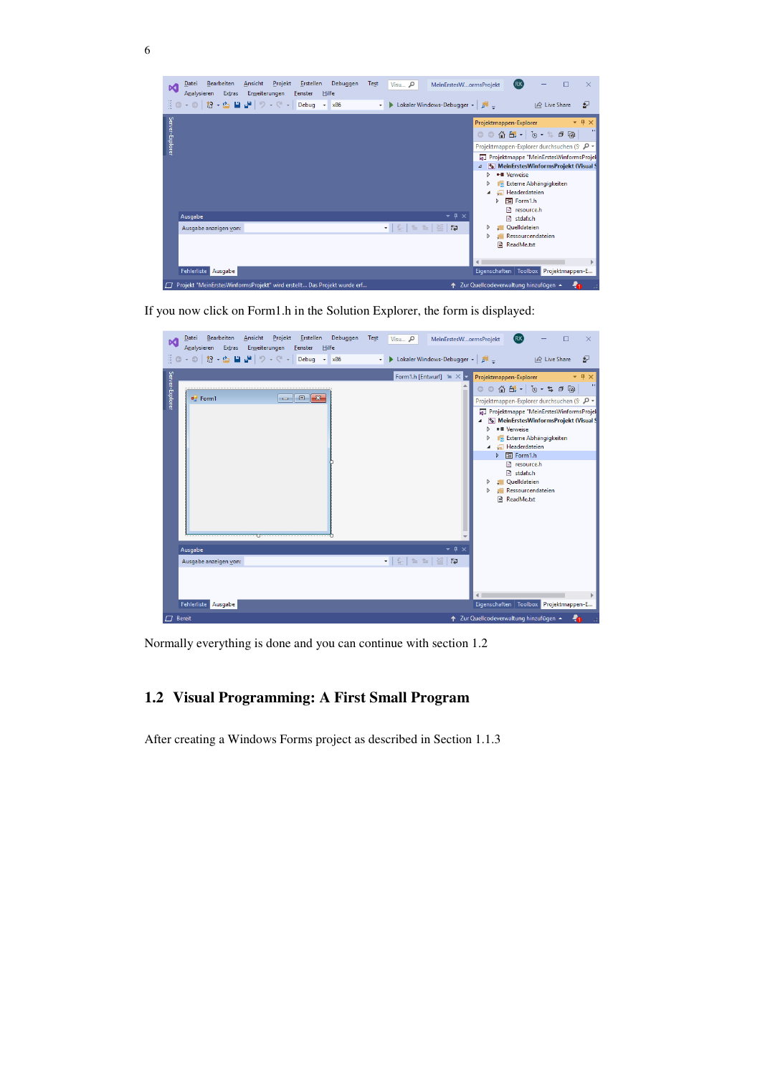

If you now click on Form1.h in the Solution Explorer, the form is displayed:

6

| Ansicht<br>Projekt Erstellen Debuggen<br>Bearbeiten<br>Datei<br>м<br>Analysieren Extras Erweiterungen Fenster Hilfe<br>§◎ - ◎   招 - 凸 圖 - -   ワ - ペ -   Debug - x86                                                                                                                                                                                                                                                                                                                             | Test<br>(RK)<br>$V$ isu $\Omega$<br>MeinErstesWormsProjekt<br>П<br>×<br>Lokaler Windows-Debugger - P<br>A Live Share<br>$\mathbb{S}^2$<br>$\cdot$                                                                                                                                                                                                                                                                                                                                       |
|-------------------------------------------------------------------------------------------------------------------------------------------------------------------------------------------------------------------------------------------------------------------------------------------------------------------------------------------------------------------------------------------------------------------------------------------------------------------------------------------------|-----------------------------------------------------------------------------------------------------------------------------------------------------------------------------------------------------------------------------------------------------------------------------------------------------------------------------------------------------------------------------------------------------------------------------------------------------------------------------------------|
| Server-Explore<br>$\begin{array}{c c c c c} \hline \multicolumn{1}{c }{\mathbf{.}} & \multicolumn{1}{c }{\mathbf{.}} & \multicolumn{1}{c }{\mathbf{.}} & \multicolumn{1}{c }{\mathbf{.}} & \multicolumn{1}{c }{\mathbf{.}} & \multicolumn{1}{c }{\mathbf{.}} & \multicolumn{1}{c }{\mathbf{.}} & \multicolumn{1}{c }{\mathbf{.}} & \multicolumn{1}{c }{\mathbf{.}} & \multicolumn{1}{c }{\mathbf{.}} & \multicolumn{1}{c }{\mathbf{.}} & \multicolumn{1}{c }{\mathbf{.$<br><sup>all</sup> Form1 | Form1.h [Entwurf] $\mathbb{R} \times$<br>Projektmappen-Explorer<br>$-4x$<br>$\rightarrow$<br>$  \oplus \oplus z - 0  $ . $\oplus \oplus \oplus \oplus$<br>Projektmappen-Explorer durchsuchen (S 0 +<br>4 Projektmappe "MeinErstesWinformsProjek<br>MeinErstesWinformsProjekt (Visual S<br>■ Verweise<br><b>In Externe Abhängigkeiten</b><br>Headerdateien<br>: B Form1.h<br>Þ<br><b>B</b> resource.h<br><b>Fil</b> stdafx.h<br>Cuelldateien<br>Ressourcendateien<br><b>■ ReadMe.txt</b> |
| Ausgabe<br>Ausgabe anzeigen von:                                                                                                                                                                                                                                                                                                                                                                                                                                                                | $-4 \times$<br>•   일   철 철   29  <br>$L_{2}^{ds}$                                                                                                                                                                                                                                                                                                                                                                                                                                       |
| Fehlerliste Ausgabe<br>$\Box$ Rereit                                                                                                                                                                                                                                                                                                                                                                                                                                                            | Eigenschaften Toolbox Projektmappen-E<br>1 7ur Quellcodeverwaltung binzufügen                                                                                                                                                                                                                                                                                                                                                                                                           |

Normally everything is done and you can continue with section 1.2

# **1.2 Visual Programming: A First Small Program**

After creating a Windows Forms project as described in Section 1.1.3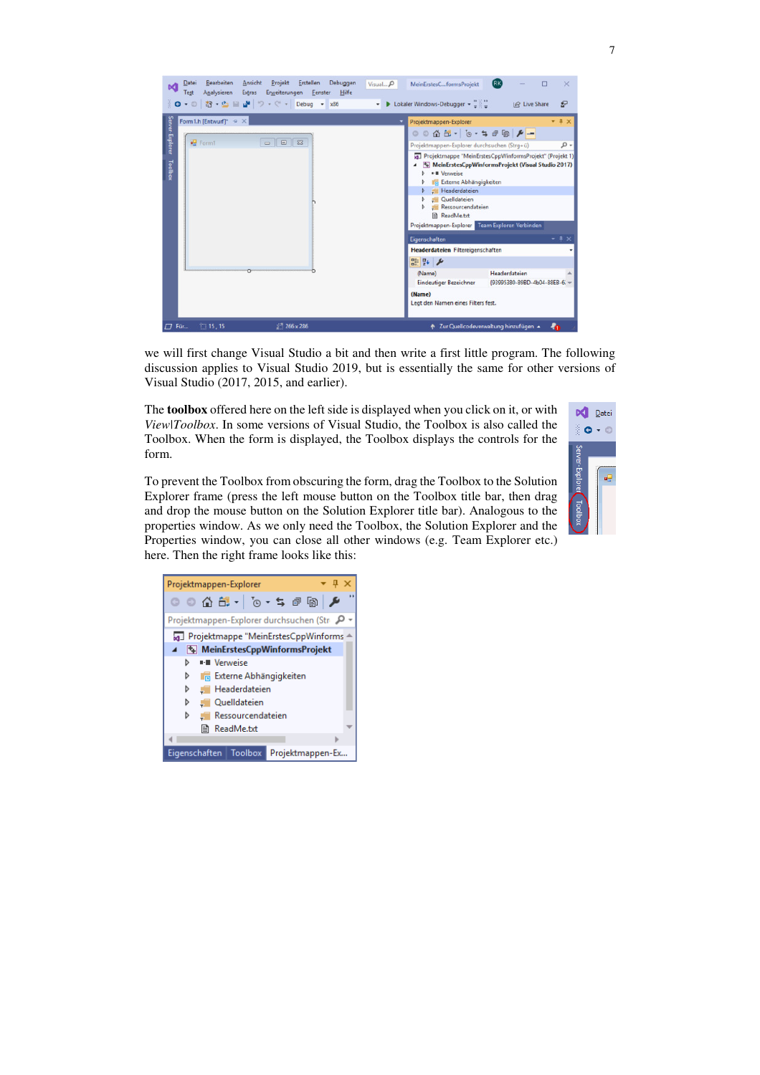

we will first change Visual Studio a bit and then write a first little program. The following discussion applies to Visual Studio 2019, but is essentially the same for other versions of Visual Studio (2017, 2015, and earlier).

The **toolbox** offered here on the left side is displayed when you click on it, or with *View|Toolbox*. In some versions of Visual Studio, the Toolbox is also called the Toolbox. When the form is displayed, the Toolbox displays the controls for the form.

To prevent the Toolbox from obscuring the form, drag the Toolbox to the Solution Explorer frame (press the left mouse button on the Toolbox title bar, then drag and drop the mouse button on the Solution Explorer title bar). Analogous to the properties window. As we only need the Toolbox, the Solution Explorer and the Properties window, you can close all other windows (e.g. Team Explorer etc.) here. Then the right frame looks like this:



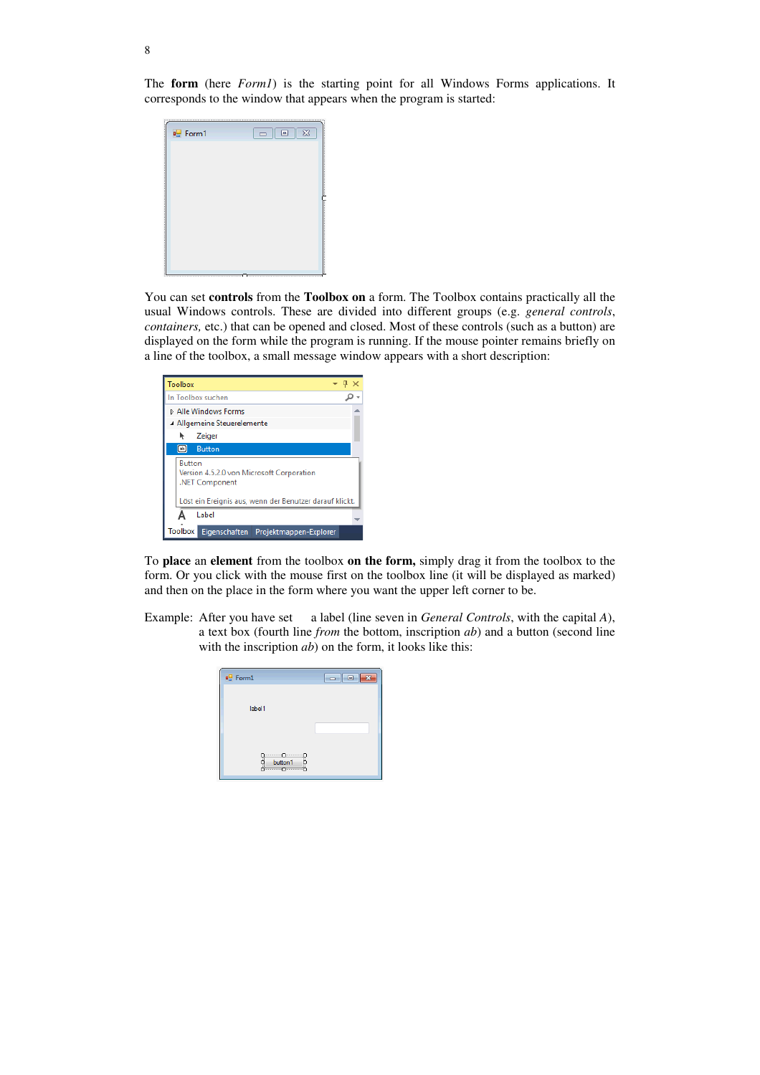The **form** (here *Form1*) is the starting point for all Windows Forms applications. It corresponds to the window that appears when the program is started:



You can set **controls** from the **Toolbox on** a form. The Toolbox contains practically all the usual Windows controls. These are divided into different groups (e.g. *general controls*, *containers,* etc.) that can be opened and closed. Most of these controls (such as a button) are displayed on the form while the program is running. If the mouse pointer remains briefly on a line of the toolbox, a small message window appears with a short description:

| Toolbox                                                                                                                                 |                             | Ωх |  |  |  |  |
|-----------------------------------------------------------------------------------------------------------------------------------------|-----------------------------|----|--|--|--|--|
| In Toolbox suchen                                                                                                                       |                             |    |  |  |  |  |
|                                                                                                                                         | <b>D</b> Alle Windows Forms |    |  |  |  |  |
|                                                                                                                                         | Allgemeine Steuerelemente   |    |  |  |  |  |
|                                                                                                                                         | Zeiger                      |    |  |  |  |  |
| $\boxed{ab}$<br><b>Button</b>                                                                                                           |                             |    |  |  |  |  |
| <b>Button</b><br>Version 4.5.2.0 von Microsoft Corporation<br>.NET Component<br>Löst ein Ereignis aus, wenn der Benutzer darauf klickt. |                             |    |  |  |  |  |
| Label                                                                                                                                   |                             |    |  |  |  |  |
| Toolbox<br>Eigenschaften Projektmappen-Explorer                                                                                         |                             |    |  |  |  |  |

To **place** an **element** from the toolbox **on the form,** simply drag it from the toolbox to the form. Or you click with the mouse first on the toolbox line (it will be displayed as marked) and then on the place in the form where you want the upper left corner to be.

Example: After you have set a label (line seven in *General Controls*, with the capital *A*), a text box (fourth line *from* the bottom, inscription *ab*) and a button (second line with the inscription *ab*) on the form, it looks like this:

| <sup>o</sup> Form1 | — La |
|--------------------|------|
| label1             |      |
| button1            |      |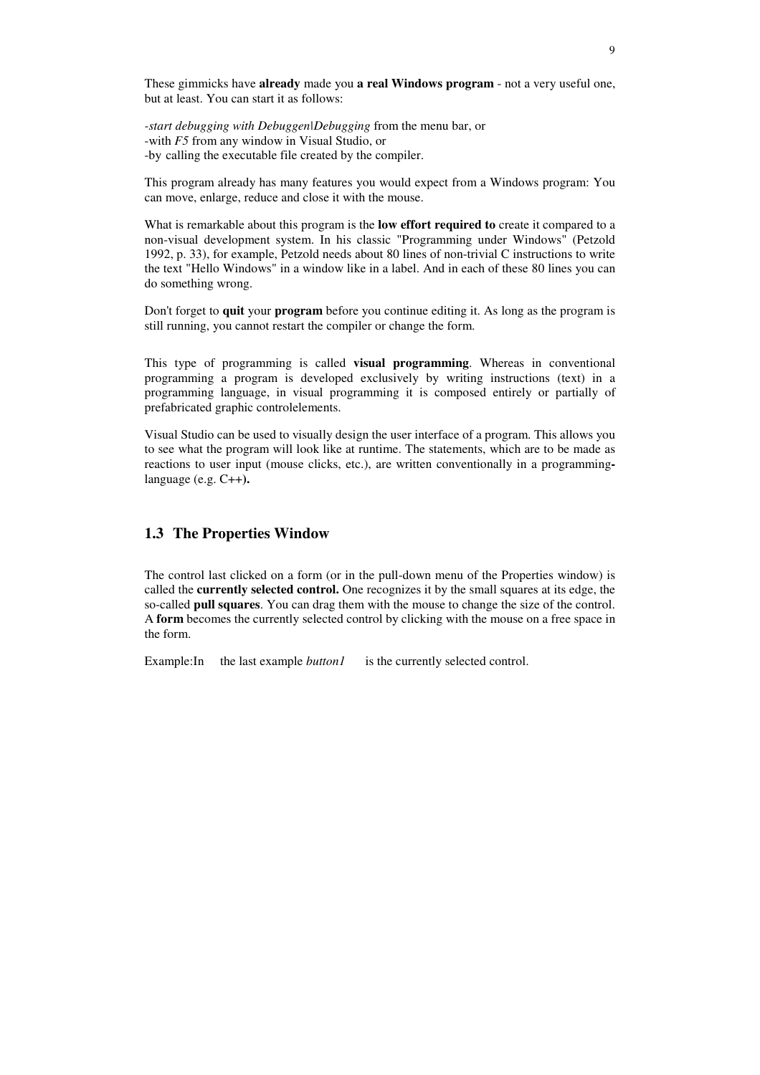These gimmicks have **already** made you **a real Windows program** - not a very useful one, but at least. You can start it as follows:

*-start debugging with Debuggen|Debugging* from the menu bar, or -with *F5* from any window in Visual Studio, or -by calling the executable file created by the compiler.

This program already has many features you would expect from a Windows program: You can move, enlarge, reduce and close it with the mouse.

What is remarkable about this program is the **low effort required to** create it compared to a non-visual development system. In his classic "Programming under Windows" (Petzold 1992, p. 33), for example, Petzold needs about 80 lines of non-trivial C instructions to write the text "Hello Windows" in a window like in a label. And in each of these 80 lines you can do something wrong.

Don't forget to **quit** your **program** before you continue editing it. As long as the program is still running, you cannot restart the compiler or change the form.

This type of programming is called **visual programming**. Whereas in conventional programming a program is developed exclusively by writing instructions (text) in a programming language, in visual programming it is composed entirely or partially of prefabricated graphic controlelements.

Visual Studio can be used to visually design the user interface of a program. This allows you to see what the program will look like at runtime. The statements, which are to be made as reactions to user input (mouse clicks, etc.), are written conventionally in a programminglanguage (e.g. C++**).** 

#### **1.3 The Properties Window**

The control last clicked on a form (or in the pull-down menu of the Properties window) is called the **currently selected control.** One recognizes it by the small squares at its edge, the so-called **pull squares**. You can drag them with the mouse to change the size of the control. A **form** becomes the currently selected control by clicking with the mouse on a free space in the form.

Example:In the last example *button1* is the currently selected control.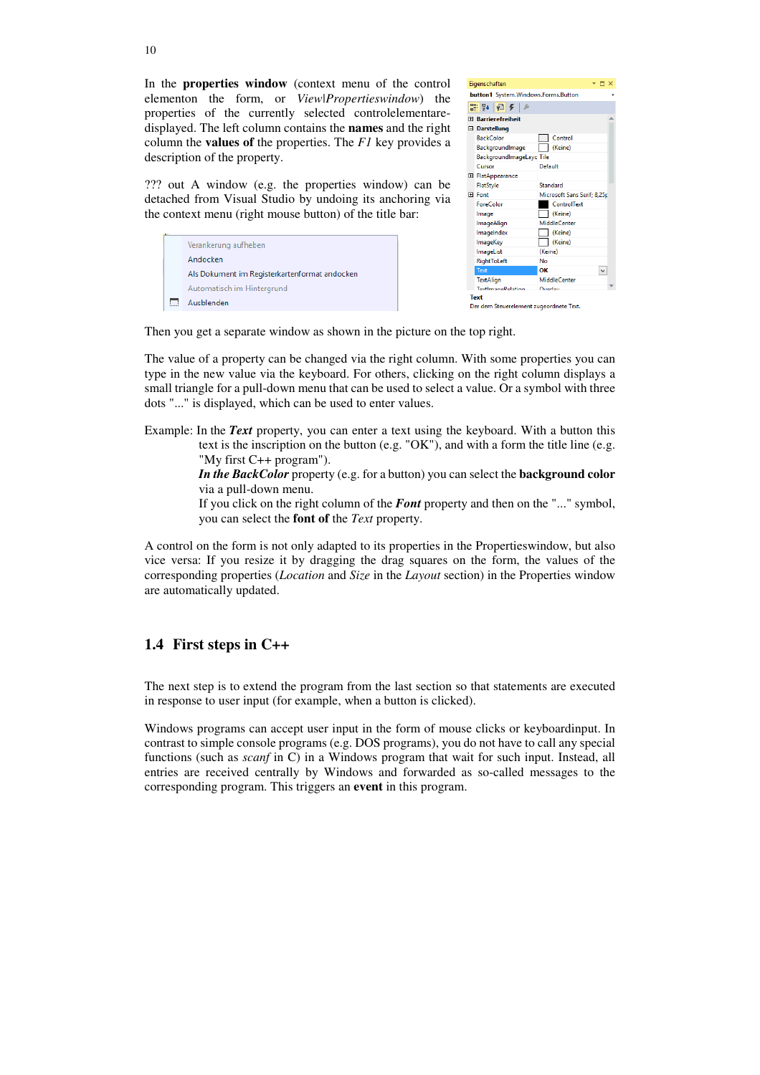In the **properties window** (context menu of the control elementon the form, or *View|Propertieswindow*) the properties of the currently selected controlelementaredisplayed. The left column contains the **names** and the right column the **values of** the properties. The *F1* key provides a description of the property.

??? out A window (e.g. the properties window) can be detached from Visual Studio by undoing its anchoring via the context menu (right mouse button) of the title bar:

|  | Verankerung aufheben                          |
|--|-----------------------------------------------|
|  | Andocken                                      |
|  | Als Dokument im Registerkartenformat andocken |
|  | Automatisch im Hintergrund                    |
|  | Ausblenden                                    |

| Eigenschaften<br>$\blacksquare$ $\times$ |                          |                                         |  |  |  |  |
|------------------------------------------|--------------------------|-----------------------------------------|--|--|--|--|
| button1 System.Windows.Forms.Button      |                          |                                         |  |  |  |  |
|                                          |                          |                                         |  |  |  |  |
|                                          | 霊い回をしく                   |                                         |  |  |  |  |
| <b>Fi</b> Barrierefreiheit               |                          |                                         |  |  |  |  |
|                                          | □ Darstellung            |                                         |  |  |  |  |
|                                          | <b>BackColor</b>         | Control                                 |  |  |  |  |
|                                          | BackgroundImage          | (Keine)                                 |  |  |  |  |
|                                          | BackgroundImageLayc Tile |                                         |  |  |  |  |
|                                          | Cursor                   | Default                                 |  |  |  |  |
|                                          | 田 FlatAppearance         |                                         |  |  |  |  |
|                                          | FlatStyle                | Standard<br>Microsoft Sans Serif; 8,25p |  |  |  |  |
|                                          | 田 Font                   |                                         |  |  |  |  |
|                                          | ForeColor                | <b>ControlText</b>                      |  |  |  |  |
|                                          | Image                    | (Keine)                                 |  |  |  |  |
|                                          | ImageAlign               | MiddleCenter                            |  |  |  |  |
|                                          | ImageIndex               | (Keine)                                 |  |  |  |  |
|                                          | ImageKey                 | (Keine)                                 |  |  |  |  |
|                                          | ImageList                | (Keine)                                 |  |  |  |  |
|                                          | RightToLeft              | No                                      |  |  |  |  |
|                                          | Text                     | ОΚ<br>$\checkmark$                      |  |  |  |  |
|                                          | <b>TextAlian</b>         | <b>MiddleCenter</b>                     |  |  |  |  |
|                                          | <b>TaythmanaPalation</b> | Overlay                                 |  |  |  |  |
| <b>Text</b>                              |                          |                                         |  |  |  |  |
| Der dem Steuerelement zugeordnete Text.  |                          |                                         |  |  |  |  |

Then you get a separate window as shown in the picture on the top right.

The value of a property can be changed via the right column. With some properties you can type in the new value via the keyboard. For others, clicking on the right column displays a small triangle for a pull-down menu that can be used to select a value. Or a symbol with three dots "..." is displayed, which can be used to enter values.

Example: In the *Text* property, you can enter a text using the keyboard. With a button this text is the inscription on the button (e.g. "OK"), and with a form the title line (e.g. "My first C++ program").

> *In the BackColor* property (e.g. for a button) you can select the **background color** via a pull-down menu.

> If you click on the right column of the *Font* property and then on the "..." symbol, you can select the **font of** the *Text* property.

A control on the form is not only adapted to its properties in the Propertieswindow, but also vice versa: If you resize it by dragging the drag squares on the form, the values of the corresponding properties (*Location* and *Size* in the *Layout* section) in the Properties window are automatically updated.

## **1.4 First steps in C++**

The next step is to extend the program from the last section so that statements are executed in response to user input (for example, when a button is clicked).

Windows programs can accept user input in the form of mouse clicks or keyboardinput. In contrast to simple console programs (e.g. DOS programs), you do not have to call any special functions (such as *scanf* in C) in a Windows program that wait for such input. Instead, all entries are received centrally by Windows and forwarded as so-called messages to the corresponding program. This triggers an **event** in this program.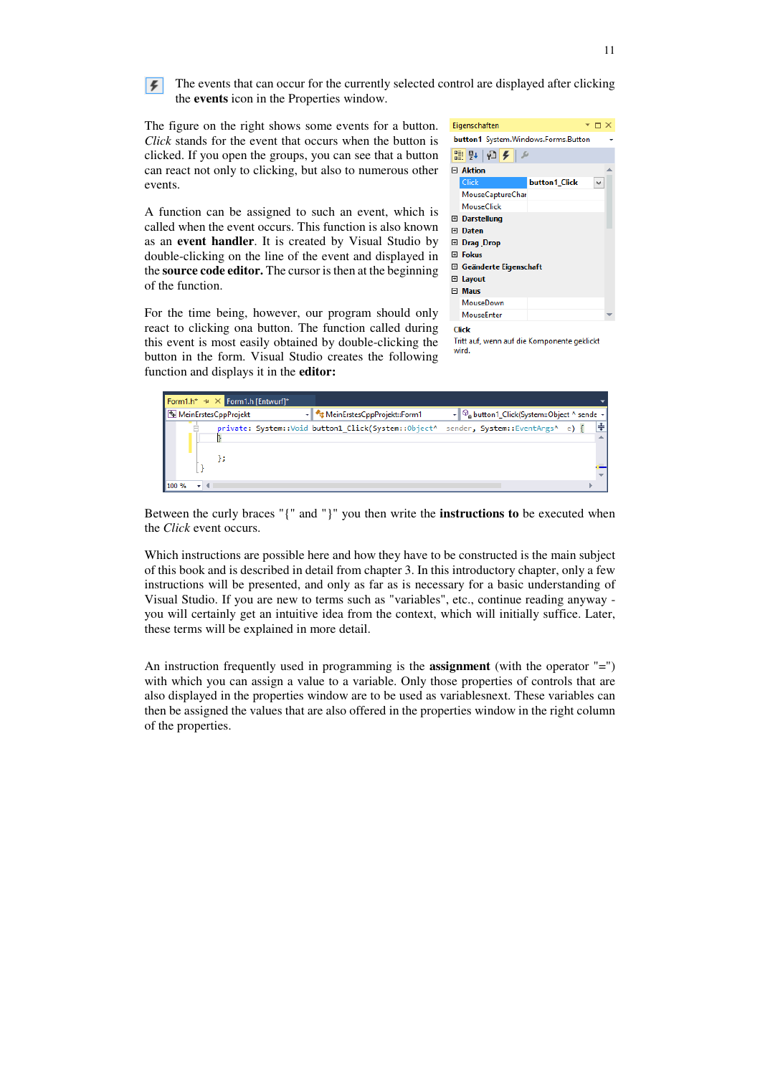

The events that can occur for the currently selected control are displayed after clicking the **events** icon in the Properties window.

The figure on the right shows some events for a button. *Click* stands for the event that occurs when the button is clicked. If you open the groups, you can see that a button can react not only to clicking, but also to numerous other events.

A function can be assigned to such an event, which is called when the event occurs. This function is also known as an **event handler**. It is created by Visual Studio by double-clicking on the line of the event and displayed in the **source code editor.** The cursor is then at the beginning of the function.

For the time being, however, our program should only react to clicking ona button. The function called during this event is most easily obtained by double-clicking the button in the form. Visual Studio creates the following function and displays it in the **editor:**



Tritt auf, wenn auf die Komponente geklickt wird

| Form1.h* $\pm \times$ Form1.h [Entwurf]* |                             |                                                                                     |  |
|------------------------------------------|-----------------------------|-------------------------------------------------------------------------------------|--|
| MeinErstesCppProjekt                     | MeinErstesCppProjekt::Form1 | ▼ © button1_Click(System::Object ^ sende ▼                                          |  |
|                                          |                             | private: System::Void button1 Click(System::Object^ sender, System::EventArgs^ e) { |  |
|                                          |                             |                                                                                     |  |
|                                          |                             |                                                                                     |  |
|                                          |                             |                                                                                     |  |
| 100 %                                    |                             |                                                                                     |  |

Between the curly braces "{" and "}" you then write the **instructions to** be executed when the *Click* event occurs.

Which instructions are possible here and how they have to be constructed is the main subject of this book and is described in detail from chapter 3. In this introductory chapter, only a few instructions will be presented, and only as far as is necessary for a basic understanding of Visual Studio. If you are new to terms such as "variables", etc., continue reading anyway you will certainly get an intuitive idea from the context, which will initially suffice. Later, these terms will be explained in more detail.

An instruction frequently used in programming is the **assignment** (with the operator "=") with which you can assign a value to a variable. Only those properties of controls that are also displayed in the properties window are to be used as variablesnext. These variables can then be assigned the values that are also offered in the properties window in the right column of the properties.